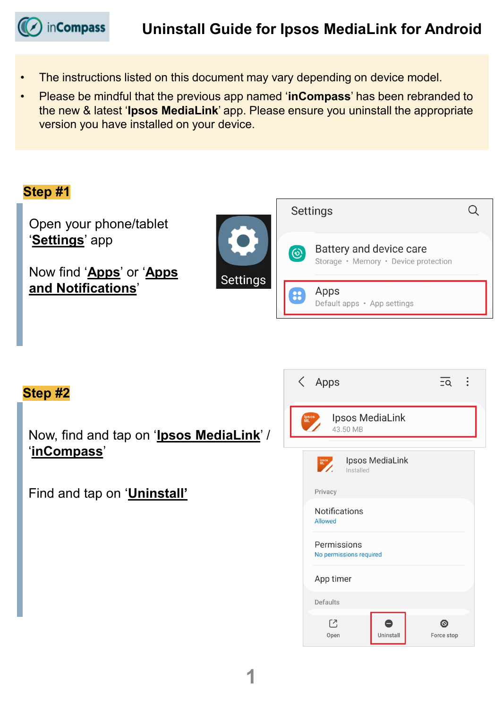**inCompass** 

- The instructions listed on this document may vary depending on device model.
- Please be mindful that the previous app named '**inCompass**' has been rebranded to the new & latest '**Ipsos MediaLink**' app. Please ensure you uninstall the appropriate version you have installed on your device.



### **Step #2**

Now, find and tap on '**Ipsos MediaLink**' / '**inCompass**'

Find and tap on '**Uninstall'**

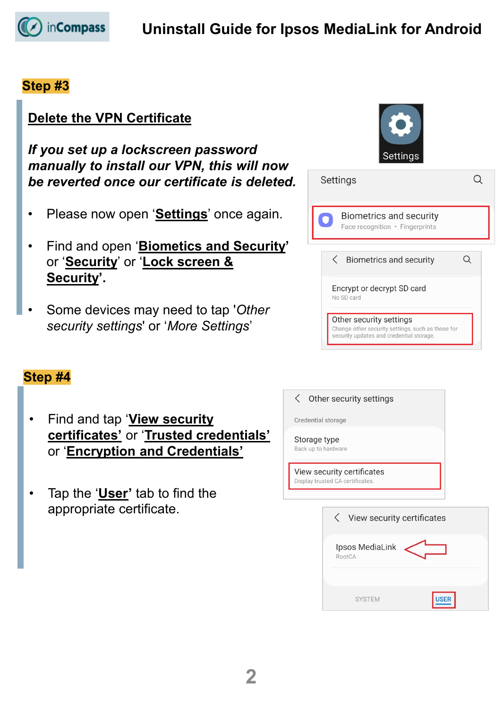

#### **Step #3**

# **Delete the VPN Certificate**

*If you set up a lockscreen password manually to install our VPN, this will now be reverted once our certificate is deleted.*

- Please now open '**Settings**' once again.
- Find and open '**Biometics and Security'** or '**Security**' or '**Lock screen & Security'.**
- Some devices may need to tap '*Other security settings*' or '*More Settings*'

#### **Step #4**

- Find and tap '**View security certificates'** or '**Trusted credentials'** or '**Encryption and Credentials'**
- Tap the '**User'** tab to find the appropriate certificate.

| <b>Settings</b>                                                                                                          |  |  |  |
|--------------------------------------------------------------------------------------------------------------------------|--|--|--|
| Settings                                                                                                                 |  |  |  |
| <b>Biometrics and security</b><br>Face recognition · Fingerprints                                                        |  |  |  |
| <b>Biometrics and security</b>                                                                                           |  |  |  |
| Encrypt or decrypt SD card<br>No SD card                                                                                 |  |  |  |
| Other security settings<br>Change other security settings, such as those for<br>security updates and credential storage. |  |  |  |

#### Other security settings  $\langle$

Credential storage

Storage type Back up to hardware

View security certificates Display trusted CA certificates.

| <b>く</b> View security certificates |             |
|-------------------------------------|-------------|
| Ipsos MediaLink<br>RootCA           |             |
| <b>SYSTEM</b>                       | <b>USER</b> |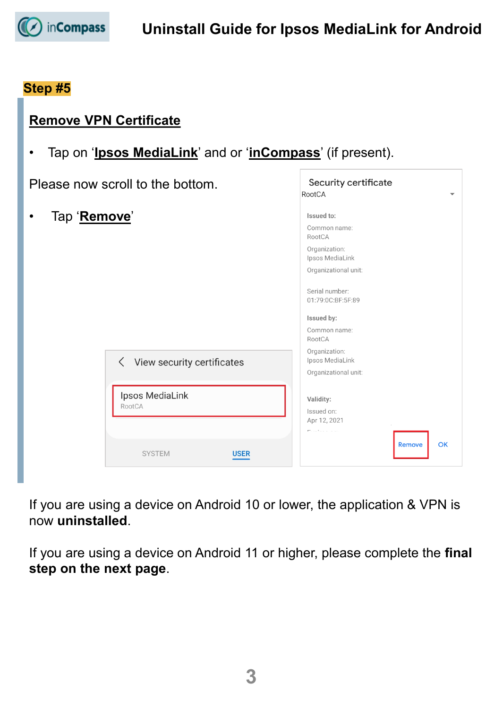

**Remove VPN Certificate**

## **Step #5**

| Please now scroll to the bottom. |                                                        | Security certificate<br>RootCA                                                                                                                                                  |
|----------------------------------|--------------------------------------------------------|---------------------------------------------------------------------------------------------------------------------------------------------------------------------------------|
| Tap 'Remove'<br>$\bullet$        |                                                        | Issued to:<br>Common name:<br>RootCA<br>Organization:<br>Ipsos MediaLink<br>Organizational unit:<br>Serial number:<br>01:79:0C:BF:5F:89<br>Issued by:<br>Common name:<br>RootCA |
| RootCA                           | <b>く</b> View security certificates<br>Ipsos MediaLink | Organization:<br>Ipsos MediaLink<br>Organizational unit:<br>Validity:<br>Issued on:<br>Apr 12, 2021<br>Printed and a state                                                      |
|                                  | <b>SYSTEM</b><br><b>USER</b>                           | OK<br><b>Remove</b>                                                                                                                                                             |

If you are using a device on Android 10 or lower, the application & VPN is now **uninstalled**.

If you are using a device on Android 11 or higher, please complete the **final step on the next page**.